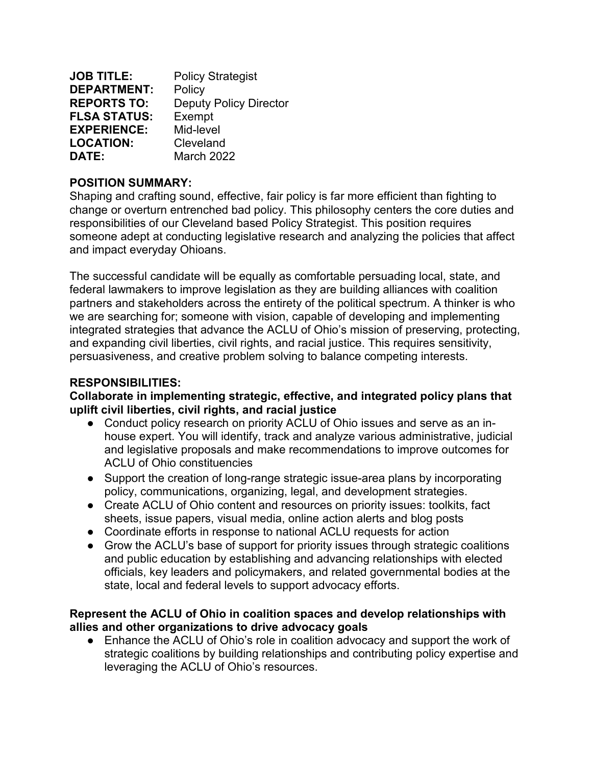| <b>JOB TITLE:</b>   | <b>Policy Strategist</b>      |
|---------------------|-------------------------------|
| <b>DEPARTMENT:</b>  | Policy                        |
| <b>REPORTS TO:</b>  | <b>Deputy Policy Director</b> |
| <b>FLSA STATUS:</b> | Exempt                        |
| <b>EXPERIENCE:</b>  | Mid-level                     |
| <b>LOCATION:</b>    | Cleveland                     |
| DATE:               | <b>March 2022</b>             |

### **POSITION SUMMARY:**

Shaping and crafting sound, effective, fair policy is far more efficient than fighting to change or overturn entrenched bad policy. This philosophy centers the core duties and responsibilities of our Cleveland based Policy Strategist. This position requires someone adept at conducting legislative research and analyzing the policies that affect and impact everyday Ohioans.

The successful candidate will be equally as comfortable persuading local, state, and federal lawmakers to improve legislation as they are building alliances with coalition partners and stakeholders across the entirety of the political spectrum. A thinker is who we are searching for; someone with vision, capable of developing and implementing integrated strategies that advance the ACLU of Ohio's mission of preserving, protecting, and expanding civil liberties, civil rights, and racial justice. This requires sensitivity, persuasiveness, and creative problem solving to balance competing interests.

## **RESPONSIBILITIES:**

**Collaborate in implementing strategic, effective, and integrated policy plans that uplift civil liberties, civil rights, and racial justice** 

- Conduct policy research on priority ACLU of Ohio issues and serve as an inhouse expert. You will identify, track and analyze various administrative, judicial and legislative proposals and make recommendations to improve outcomes for ACLU of Ohio constituencies
- Support the creation of long-range strategic issue-area plans by incorporating policy, communications, organizing, legal, and development strategies.
- Create ACLU of Ohio content and resources on priority issues: toolkits, fact sheets, issue papers, visual media, online action alerts and blog posts
- Coordinate efforts in response to national ACLU requests for action
- Grow the ACLU's base of support for priority issues through strategic coalitions and public education by establishing and advancing relationships with elected officials, key leaders and policymakers, and related governmental bodies at the state, local and federal levels to support advocacy efforts.

#### **Represent the ACLU of Ohio in coalition spaces and develop relationships with allies and other organizations to drive advocacy goals**

● Enhance the ACLU of Ohio's role in coalition advocacy and support the work of strategic coalitions by building relationships and contributing policy expertise and leveraging the ACLU of Ohio's resources.